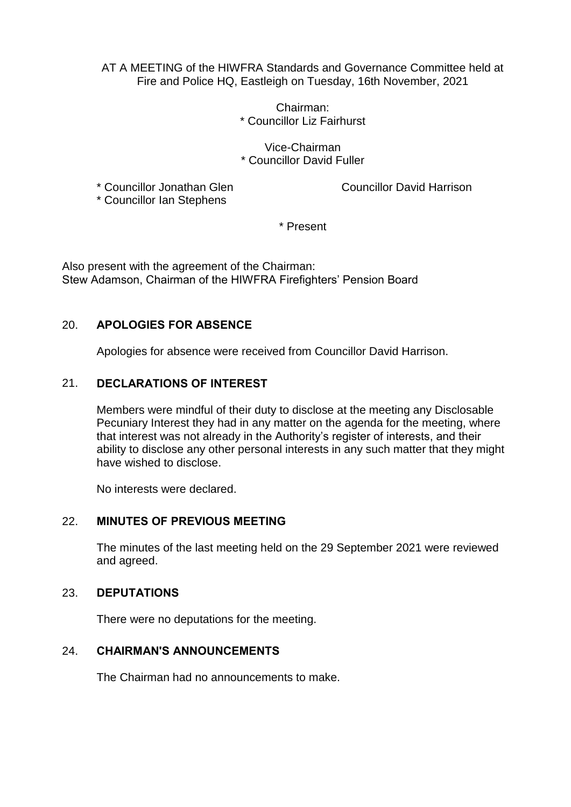AT A MEETING of the HIWFRA Standards and Governance Committee held at Fire and Police HQ, Eastleigh on Tuesday, 16th November, 2021

> Chairman: \* Councillor Liz Fairhurst

Vice-Chairman \* Councillor David Fuller

\* Councillor Jonathan Glen Councillor David Harrison

\* Councillor Ian Stephens

\* Present

Also present with the agreement of the Chairman: Stew Adamson, Chairman of the HIWFRA Firefighters' Pension Board

# 20. **APOLOGIES FOR ABSENCE**

Apologies for absence were received from Councillor David Harrison.

# 21. **DECLARATIONS OF INTEREST**

Members were mindful of their duty to disclose at the meeting any Disclosable Pecuniary Interest they had in any matter on the agenda for the meeting, where that interest was not already in the Authority's register of interests, and their ability to disclose any other personal interests in any such matter that they might have wished to disclose.

No interests were declared.

# 22. **MINUTES OF PREVIOUS MEETING**

The minutes of the last meeting held on the 29 September 2021 were reviewed and agreed.

### 23. **DEPUTATIONS**

There were no deputations for the meeting.

# 24. **CHAIRMAN'S ANNOUNCEMENTS**

The Chairman had no announcements to make.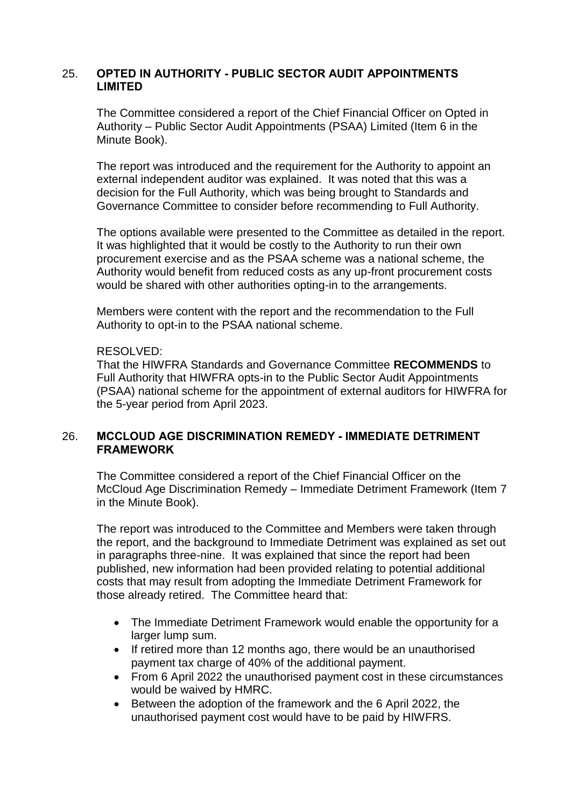### 25. **OPTED IN AUTHORITY - PUBLIC SECTOR AUDIT APPOINTMENTS LIMITED**

The Committee considered a report of the Chief Financial Officer on Opted in Authority – Public Sector Audit Appointments (PSAA) Limited (Item 6 in the Minute Book).

The report was introduced and the requirement for the Authority to appoint an external independent auditor was explained. It was noted that this was a decision for the Full Authority, which was being brought to Standards and Governance Committee to consider before recommending to Full Authority.

The options available were presented to the Committee as detailed in the report. It was highlighted that it would be costly to the Authority to run their own procurement exercise and as the PSAA scheme was a national scheme, the Authority would benefit from reduced costs as any up-front procurement costs would be shared with other authorities opting-in to the arrangements.

Members were content with the report and the recommendation to the Full Authority to opt-in to the PSAA national scheme.

## RESOLVED:

That the HIWFRA Standards and Governance Committee **RECOMMENDS** to Full Authority that HIWFRA opts-in to the Public Sector Audit Appointments (PSAA) national scheme for the appointment of external auditors for HIWFRA for the 5-year period from April 2023.

### 26. **MCCLOUD AGE DISCRIMINATION REMEDY - IMMEDIATE DETRIMENT FRAMEWORK**

The Committee considered a report of the Chief Financial Officer on the McCloud Age Discrimination Remedy – Immediate Detriment Framework (Item 7 in the Minute Book).

The report was introduced to the Committee and Members were taken through the report, and the background to Immediate Detriment was explained as set out in paragraphs three-nine. It was explained that since the report had been published, new information had been provided relating to potential additional costs that may result from adopting the Immediate Detriment Framework for those already retired. The Committee heard that:

- The Immediate Detriment Framework would enable the opportunity for a larger lump sum.
- If retired more than 12 months ago, there would be an unauthorised payment tax charge of 40% of the additional payment.
- From 6 April 2022 the unauthorised payment cost in these circumstances would be waived by HMRC.
- Between the adoption of the framework and the 6 April 2022, the unauthorised payment cost would have to be paid by HIWFRS.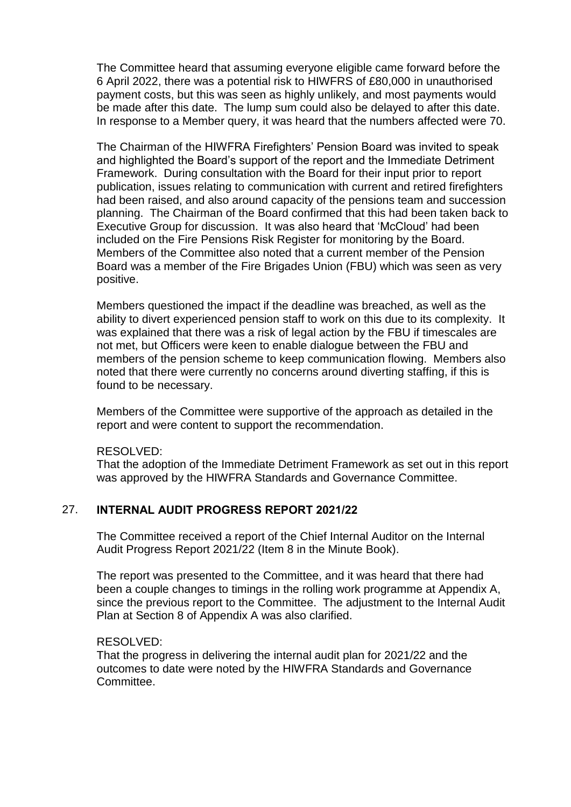The Committee heard that assuming everyone eligible came forward before the 6 April 2022, there was a potential risk to HIWFRS of £80,000 in unauthorised payment costs, but this was seen as highly unlikely, and most payments would be made after this date. The lump sum could also be delayed to after this date. In response to a Member query, it was heard that the numbers affected were 70.

The Chairman of the HIWFRA Firefighters' Pension Board was invited to speak and highlighted the Board's support of the report and the Immediate Detriment Framework. During consultation with the Board for their input prior to report publication, issues relating to communication with current and retired firefighters had been raised, and also around capacity of the pensions team and succession planning. The Chairman of the Board confirmed that this had been taken back to Executive Group for discussion. It was also heard that 'McCloud' had been included on the Fire Pensions Risk Register for monitoring by the Board. Members of the Committee also noted that a current member of the Pension Board was a member of the Fire Brigades Union (FBU) which was seen as very positive.

Members questioned the impact if the deadline was breached, as well as the ability to divert experienced pension staff to work on this due to its complexity. It was explained that there was a risk of legal action by the FBU if timescales are not met, but Officers were keen to enable dialogue between the FBU and members of the pension scheme to keep communication flowing. Members also noted that there were currently no concerns around diverting staffing, if this is found to be necessary.

Members of the Committee were supportive of the approach as detailed in the report and were content to support the recommendation.

### RESOLVED:

That the adoption of the Immediate Detriment Framework as set out in this report was approved by the HIWFRA Standards and Governance Committee.

## 27. **INTERNAL AUDIT PROGRESS REPORT 2021/22**

The Committee received a report of the Chief Internal Auditor on the Internal Audit Progress Report 2021/22 (Item 8 in the Minute Book).

The report was presented to the Committee, and it was heard that there had been a couple changes to timings in the rolling work programme at Appendix A, since the previous report to the Committee. The adjustment to the Internal Audit Plan at Section 8 of Appendix A was also clarified.

### RESOLVED:

That the progress in delivering the internal audit plan for 2021/22 and the outcomes to date were noted by the HIWFRA Standards and Governance **Committee.**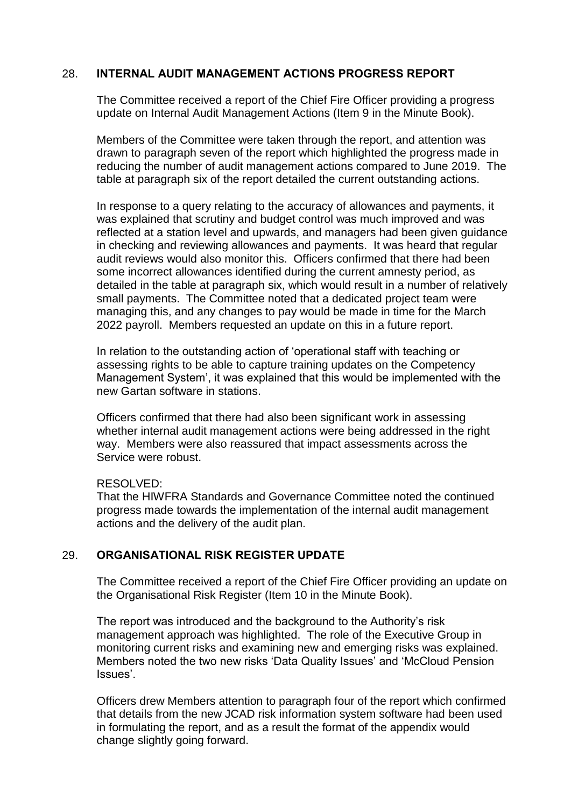# 28. **INTERNAL AUDIT MANAGEMENT ACTIONS PROGRESS REPORT**

The Committee received a report of the Chief Fire Officer providing a progress update on Internal Audit Management Actions (Item 9 in the Minute Book).

Members of the Committee were taken through the report, and attention was drawn to paragraph seven of the report which highlighted the progress made in reducing the number of audit management actions compared to June 2019. The table at paragraph six of the report detailed the current outstanding actions.

In response to a query relating to the accuracy of allowances and payments, it was explained that scrutiny and budget control was much improved and was reflected at a station level and upwards, and managers had been given guidance in checking and reviewing allowances and payments. It was heard that regular audit reviews would also monitor this. Officers confirmed that there had been some incorrect allowances identified during the current amnesty period, as detailed in the table at paragraph six, which would result in a number of relatively small payments. The Committee noted that a dedicated project team were managing this, and any changes to pay would be made in time for the March 2022 payroll. Members requested an update on this in a future report.

In relation to the outstanding action of 'operational staff with teaching or assessing rights to be able to capture training updates on the Competency Management System', it was explained that this would be implemented with the new Gartan software in stations.

Officers confirmed that there had also been significant work in assessing whether internal audit management actions were being addressed in the right way. Members were also reassured that impact assessments across the Service were robust.

### RESOLVED:

That the HIWFRA Standards and Governance Committee noted the continued progress made towards the implementation of the internal audit management actions and the delivery of the audit plan.

## 29. **ORGANISATIONAL RISK REGISTER UPDATE**

The Committee received a report of the Chief Fire Officer providing an update on the Organisational Risk Register (Item 10 in the Minute Book).

The report was introduced and the background to the Authority's risk management approach was highlighted. The role of the Executive Group in monitoring current risks and examining new and emerging risks was explained. Members noted the two new risks 'Data Quality Issues' and 'McCloud Pension Issues'.

Officers drew Members attention to paragraph four of the report which confirmed that details from the new JCAD risk information system software had been used in formulating the report, and as a result the format of the appendix would change slightly going forward.